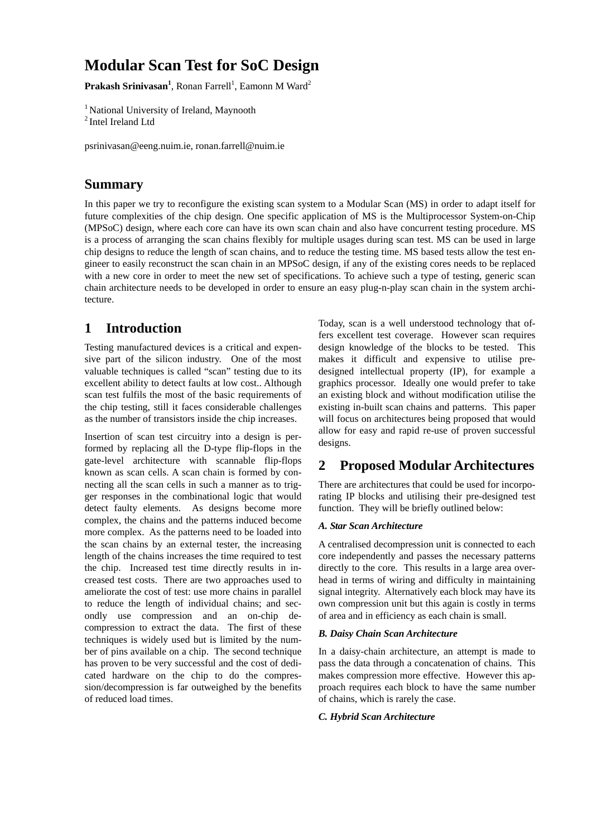# **Modular Scan Test for SoC Design**

Prakash Srinivasan<sup>1</sup>, Ronan Farrell<sup>1</sup>, Eamonn M Ward<sup>2</sup>

<sup>1</sup> National University of Ireland, Maynooth <sup>2</sup> Intel Ireland Ltd

psrinivasan@eeng.nuim.ie, ronan.farrell@nuim.ie

### **Summary**

In this paper we try to reconfigure the existing scan system to a Modular Scan (MS) in order to adapt itself for future complexities of the chip design. One specific application of MS is the Multiprocessor System-on-Chip (MPSoC) design, where each core can have its own scan chain and also have concurrent testing procedure. MS is a process of arranging the scan chains flexibly for multiple usages during scan test. MS can be used in large chip designs to reduce the length of scan chains, and to reduce the testing time. MS based tests allow the test engineer to easily reconstruct the scan chain in an MPSoC design, if any of the existing cores needs to be replaced with a new core in order to meet the new set of specifications. To achieve such a type of testing, generic scan chain architecture needs to be developed in order to ensure an easy plug-n-play scan chain in the system architecture.

## **1 Introduction**

Testing manufactured devices is a critical and expensive part of the silicon industry. One of the most valuable techniques is called "scan" testing due to its excellent ability to detect faults at low cost.. Although scan test fulfils the most of the basic requirements of the chip testing, still it faces considerable challenges as the number of transistors inside the chip increases.

Insertion of scan test circuitry into a design is performed by replacing all the D-type flip-flops in the gate-level architecture with scannable flip-flops known as scan cells. A scan chain is formed by connecting all the scan cells in such a manner as to trigger responses in the combinational logic that would detect faulty elements. As designs become more complex, the chains and the patterns induced become more complex. As the patterns need to be loaded into the scan chains by an external tester, the increasing length of the chains increases the time required to test the chip. Increased test time directly results in increased test costs. There are two approaches used to ameliorate the cost of test: use more chains in parallel to reduce the length of individual chains; and secondly use compression and an on-chip decompression to extract the data. The first of these techniques is widely used but is limited by the number of pins available on a chip. The second technique has proven to be very successful and the cost of dedicated hardware on the chip to do the compression/decompression is far outweighed by the benefits of reduced load times.

Today, scan is a well understood technology that offers excellent test coverage. However scan requires design knowledge of the blocks to be tested. This makes it difficult and expensive to utilise predesigned intellectual property (IP), for example a graphics processor. Ideally one would prefer to take an existing block and without modification utilise the existing in-built scan chains and patterns. This paper will focus on architectures being proposed that would allow for easy and rapid re-use of proven successful designs.

### **2 Proposed Modular Architectures**

There are architectures that could be used for incorporating IP blocks and utilising their pre-designed test function. They will be briefly outlined below:

### *A. Star Scan Architecture*

A centralised decompression unit is connected to each core independently and passes the necessary patterns directly to the core. This results in a large area overhead in terms of wiring and difficulty in maintaining signal integrity. Alternatively each block may have its own compression unit but this again is costly in terms of area and in efficiency as each chain is small.

### *B. Daisy Chain Scan Architecture*

In a daisy-chain architecture, an attempt is made to pass the data through a concatenation of chains. This makes compression more effective. However this approach requires each block to have the same number of chains, which is rarely the case.

### *C. Hybrid Scan Architecture*